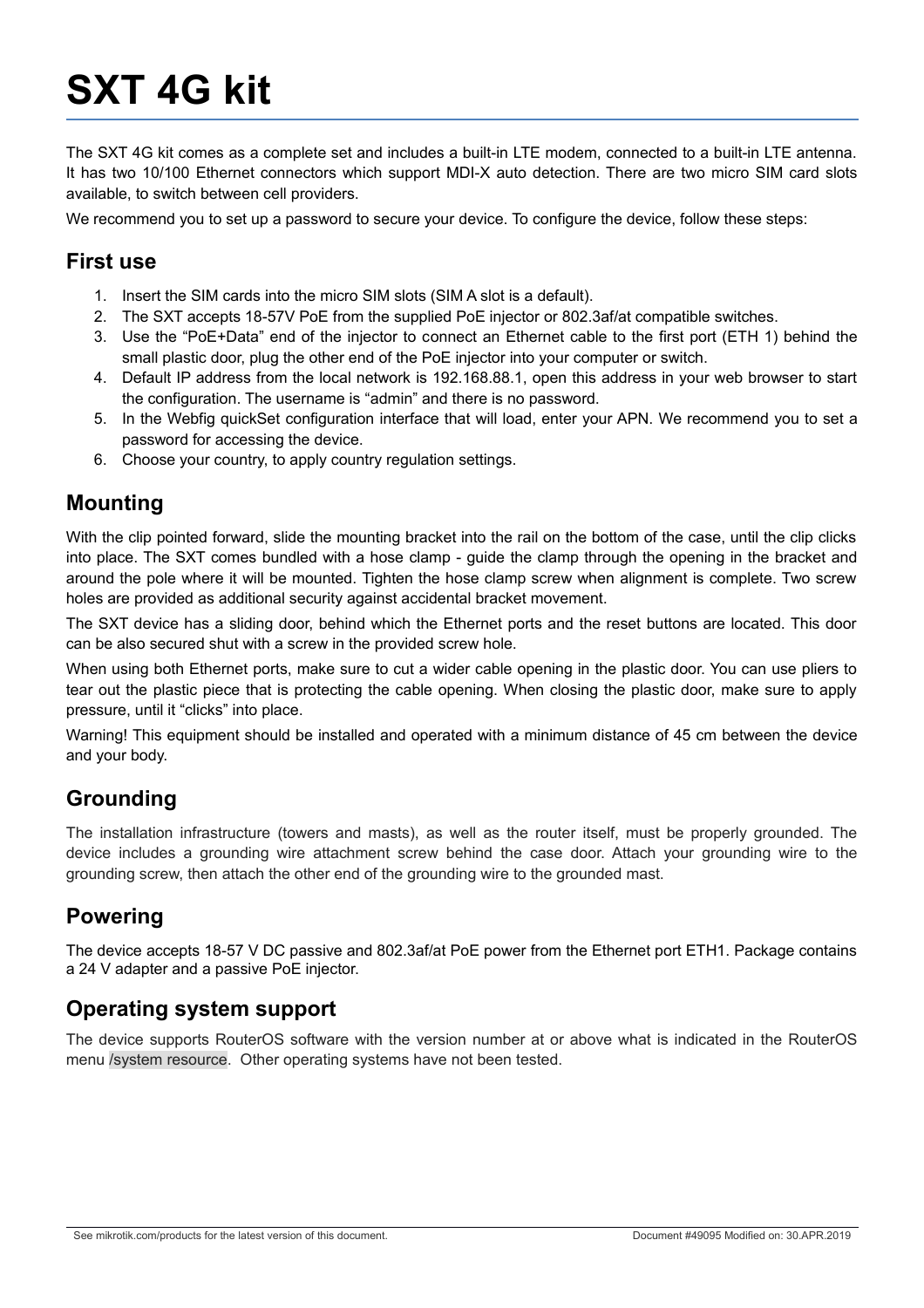# **SXT 4G kit**

The SXT 4G kit comes as a complete set and includes a built-in LTE modem, connected to a built-in LTE antenna. It has two 10/100 Ethernet connectors which support MDI-X auto detection. There are two micro SIM card slots available, to switch between cell providers.

We recommend you to set up a password to secure your device. To configure the device, follow these steps:

#### **First use**

- 1. Insert the SIM cards into the micro SIM slots (SIM A slot is a default).
- 2. The SXT accepts 18-57V PoE from the supplied PoE injector or 802.3af/at compatible switches.
- 3. Use the "PoE+Data" end of the injector to connect an Ethernet cable to the first port (ETH 1) behind the small plastic door, plug the other end of the PoE injector into your computer or switch.
- 4. Default IP address from the local network is 192.168.88.1, open this address in your web browser to start the configuration. The username is "admin" and there is no password.
- 5. In the Webfig quickSet configuration interface that will load, enter your APN. We recommend you to set a password for accessing the device.
- 6. Choose your country, to apply country regulation settings.

## **Mounting**

With the clip pointed forward, slide the mounting bracket into the rail on the bottom of the case, until the clip clicks into place. The SXT comes bundled with a hose clamp - guide the clamp through the opening in the bracket and around the pole where it will be mounted. Tighten the hose clamp screw when alignment is complete. Two screw holes are provided as additional security against accidental bracket movement.

The SXT device has a sliding door, behind which the Ethernet ports and the reset buttons are located. This door can be also secured shut with a screw in the provided screw hole.

When using both Ethernet ports, make sure to cut a wider cable opening in the plastic door. You can use pliers to tear out the plastic piece that is protecting the cable opening. When closing the plastic door, make sure to apply pressure, until it "clicks" into place.

Warning! This equipment should be installed and operated with a minimum distance of 45 cm between the device and your body.

## **Grounding**

The installation infrastructure (towers and masts), as well as the router itself, must be properly grounded. The device includes a grounding wire attachment screw behind the case door. Attach your grounding wire to the grounding screw, then attach the other end of the grounding wire to the grounded mast.

## **Powering**

The device accepts 18-57 V DC passive and 802.3af/at PoE power from the Ethernet port ETH1. Package contains a 24 V adapter and a passive PoE injector.

## **Operating system support**

The device supports RouterOS software with the version number at or above what is indicated in the RouterOS menu /system resource. Other operating systems have not been tested.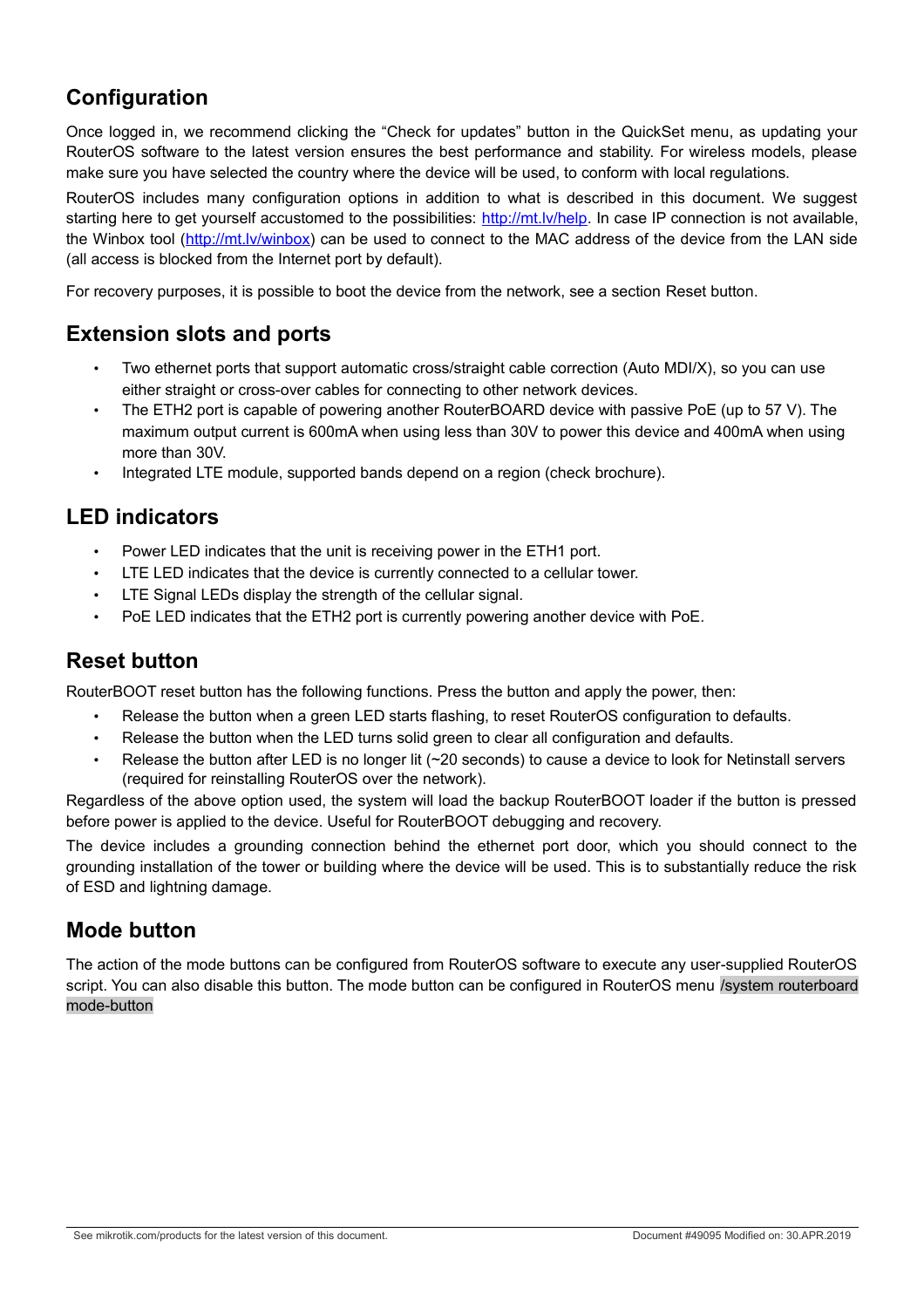## **Configuration**

Once logged in, we recommend clicking the "Check for updates" button in the QuickSet menu, as updating your RouterOS software to the latest version ensures the best performance and stability. For wireless models, please make sure you have selected the country where the device will be used, to conform with local regulations.

RouterOS includes many configuration options in addition to what is described in this document. We suggest starting here to get yourself accustomed to the possibilities: [http://mt.lv/help.](http://mt.lv/help) In case IP connection is not available, the Winbox tool [\(http://mt.lv/winbox\)](http://mt.lv/winbox) can be used to connect to the MAC address of the device from the LAN side (all access is blocked from the Internet port by default).

For recovery purposes, it is possible to boot the device from the network, see a section [Reset button.](#page-1-0)

## **Extension slots and ports**

- Two ethernet ports that support automatic cross/straight cable correction (Auto MDI/X), so you can use either straight or cross-over cables for connecting to other network devices.
- The ETH2 port is capable of powering another RouterBOARD device with passive PoE (up to 57 V). The maximum output current is 600mA when using less than 30V to power this device and 400mA when using more than 30V.
- Integrated LTE module, supported bands depend on a region (check brochure).

## **LED indicators**

- Power LED indicates that the unit is receiving power in the ETH1 port.
- LTE LED indicates that the device is currently connected to a cellular tower.
- LTE Signal LEDs display the strength of the cellular signal.
- PoE LED indicates that the ETH2 port is currently powering another device with PoE.

## <span id="page-1-0"></span>**Reset button**

RouterBOOT reset button has the following functions. Press the button and apply the power, then:

- Release the button when a green LED starts flashing, to reset RouterOS configuration to defaults.
- Release the button when the LED turns solid green to clear all configuration and defaults.
- Release the button after LED is no longer lit (~20 seconds) to cause a device to look for Netinstall servers (required for reinstalling RouterOS over the network).

Regardless of the above option used, the system will load the backup RouterBOOT loader if the button is pressed before power is applied to the device. Useful for RouterBOOT debugging and recovery.

The device includes a grounding connection behind the ethernet port door, which you should connect to the grounding installation of the tower or building where the device will be used. This is to substantially reduce the risk of ESD and lightning damage.

## **Mode button**

The action of the mode buttons can be configured from RouterOS software to execute any user-supplied RouterOS script. You can also disable this button. The mode button can be configured in RouterOS menu /system routerboard mode-button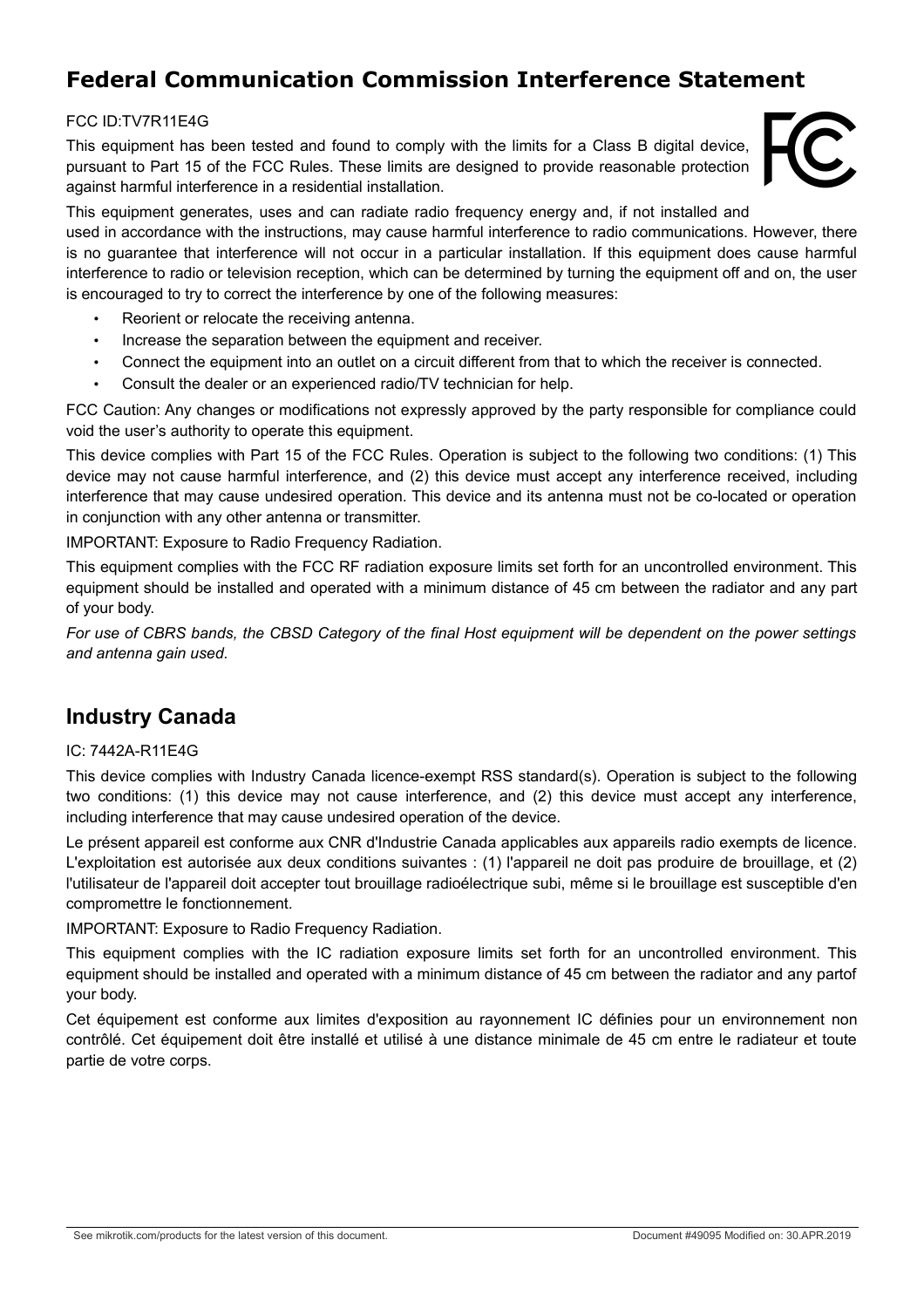## **Federal Communication Commission Interference Statement**

#### FCC ID:TV7R11E4G

This equipment has been tested and found to comply with the limits for a Class B digital device, pursuant to Part 15 of the FCC Rules. These limits are designed to provide reasonable protection against harmful interference in a residential installation.



This equipment generates, uses and can radiate radio frequency energy and, if not installed and

used in accordance with the instructions, may cause harmful interference to radio communications. However, there is no guarantee that interference will not occur in a particular installation. If this equipment does cause harmful interference to radio or television reception, which can be determined by turning the equipment off and on, the user is encouraged to try to correct the interference by one of the following measures:

- Reorient or relocate the receiving antenna.
- Increase the separation between the equipment and receiver.
- Connect the equipment into an outlet on a circuit different from that to which the receiver is connected.
- Consult the dealer or an experienced radio/TV technician for help.

FCC Caution: Any changes or modifications not expressly approved by the party responsible for compliance could void the user's authority to operate this equipment.

This device complies with Part 15 of the FCC Rules. Operation is subject to the following two conditions: (1) This device may not cause harmful interference, and (2) this device must accept any interference received, including interference that may cause undesired operation. This device and its antenna must not be co-located or operation in conjunction with any other antenna or transmitter.

IMPORTANT: Exposure to Radio Frequency Radiation.

This equipment complies with the FCC RF radiation exposure limits set forth for an uncontrolled environment. This equipment should be installed and operated with a minimum distance of 45 cm between the radiator and any part of your body.

*For use of CBRS bands, the CBSD Category of the final Host equipment will be dependent on the power settings and antenna gain used.* 

#### **Industry Canada**

#### IC: 7442A-R11E4G

This device complies with Industry Canada licence-exempt RSS standard(s). Operation is subject to the following two conditions: (1) this device may not cause interference, and (2) this device must accept any interference, including interference that may cause undesired operation of the device.

Le présent appareil est conforme aux CNR d'Industrie Canada applicables aux appareils radio exempts de licence. L'exploitation est autorisée aux deux conditions suivantes : (1) l'appareil ne doit pas produire de brouillage, et (2) l'utilisateur de l'appareil doit accepter tout brouillage radioélectrique subi, même si le brouillage est susceptible d'en compromettre le fonctionnement.

IMPORTANT: Exposure to Radio Frequency Radiation.

This equipment complies with the IC radiation exposure limits set forth for an uncontrolled environment. This equipment should be installed and operated with a minimum distance of 45 cm between the radiator and any partof your body.

Cet équipement est conforme aux limites d'exposition au rayonnement IC définies pour un environnement non contrôlé. Cet équipement doit être installé et utilisé à une distance minimale de 45 cm entre le radiateur et toute partie de votre corps.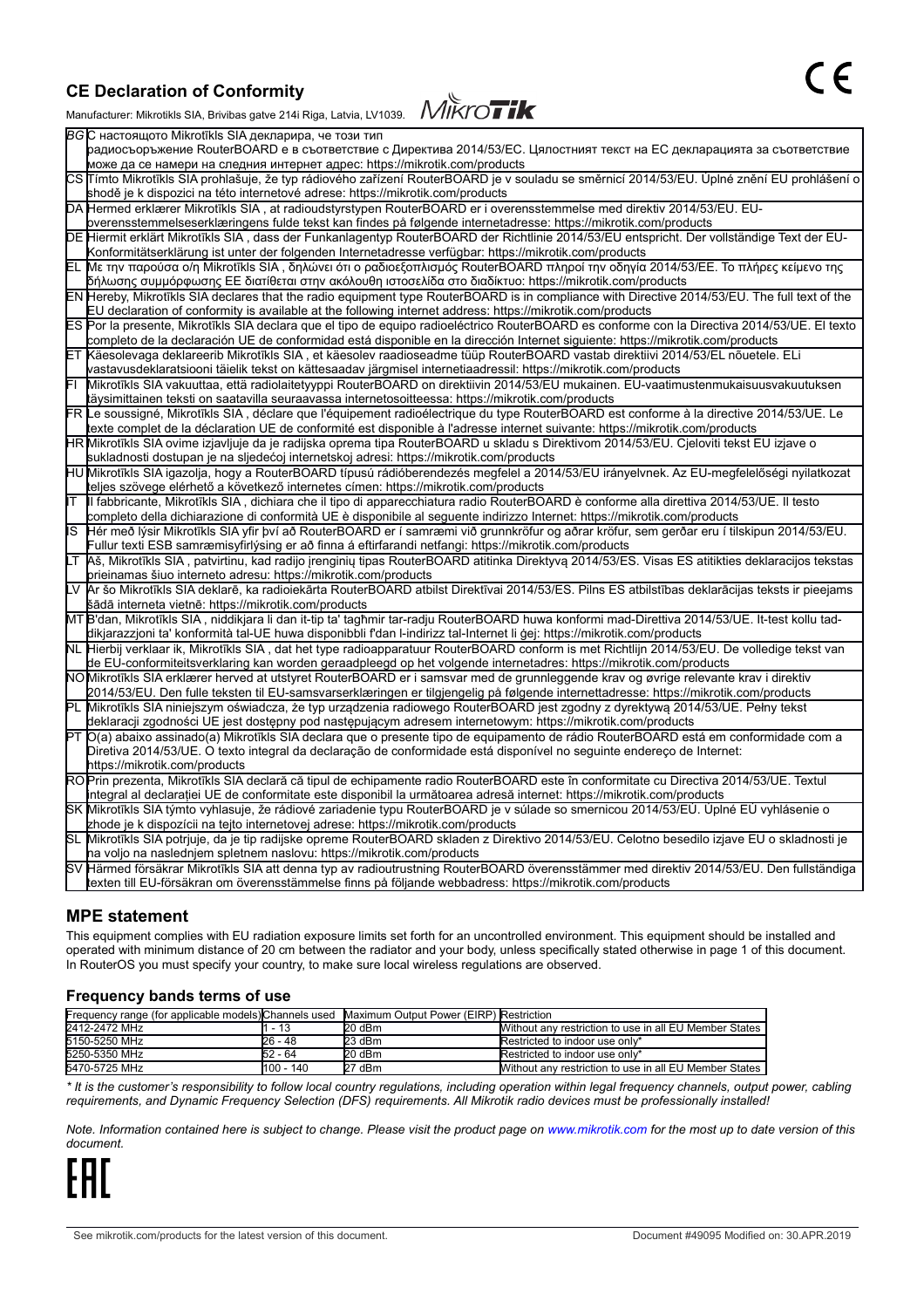#### **CE Declaration of Conformity**

Manufacturer: Mikrotikls SIA, Brivibas gatve 214i Riga, Latvia, LV1039. MIKIOTIK

|    | ВGC настоящото Mikrotīkls SIA декларира, че този тип                                                                                            |
|----|-------------------------------------------------------------------------------------------------------------------------------------------------|
|    | радиосъоръжение RouterBOARD е в съответствие с Директива 2014/53/EC. Цялостният текст на ЕС декларацията за съответствие                        |
|    | може да се намери на следния интернет адрес: https://mikrotik.com/products                                                                      |
|    | CS∏ímto Mikrotīkls SIA prohlašuje, že typ rádiového zařízení RouterBOARD je v souladu se směrnicí 2014/53/EU. Úplné znění EU prohlášení o       |
|    | shodě je k dispozici na této internetové adrese: https://mikrotik.com/products                                                                  |
|    | DA Hermed erklærer Mikrotīkls SIA, at radioudstyrstypen RouterBOARD er i overensstemmelse med direktiv 2014/53/EU. EU-                          |
|    | overensstemmelseserklæringens fulde tekst kan findes på følgende internetadresse: https://mikrotik.com/products                                 |
|    | DE Hiermit erklärt Mikrotīkls SIA , dass der Funkanlagentyp RouterBOARD der Richtlinie 2014/53/EU entspricht. Der vollständige Text der EU-     |
|    | Konformitätserklärung ist unter der folgenden Internetadresse verfügbar: https://mikrotik.com/products                                          |
| ĒL | Με την παρούσα ο/η Mikrotīkls SIA, δηλώνει ότι ο ραδιοεξοπλισμός RouterBOARD πληροί την οδηγία 2014/53/ΕΕ. Το πλήρες κείμενο της                |
|    | δήλωσης συμμόρφωσης ΕΕ διατίθεται στην ακόλουθη ιστοσελίδα στο διαδίκτυο: https://mikrotik.com/products                                         |
|    | EN Hereby, Mikrotīkls SIA declares that the radio equipment type RouterBOARD is in compliance with Directive 2014/53/EU. The full text of the   |
|    | EU declaration of conformity is available at the following internet address: https://mikrotik.com/products                                      |
|    | ES Por la presente, Mikrotīkls SIA declara que el tipo de equipo radioeléctrico RouterBOARD es conforme con la Directiva 2014/53/UE. El texto   |
|    | completo de la declaración UE de conformidad está disponible en la dirección Internet siguiente: https://mikrotik.com/products                  |
|    | ET Käesolevaga deklareerib Mikrotīkls SIA , et käesolev raadioseadme tüüp RouterBOARD vastab direktiivi 2014/53/EL nõuetele. ELi                |
|    | vastavusdeklaratsiooni täielik tekst on kättesaadav järgmisel internetiaadressil: https://mikrotik.com/products                                 |
|    | Mikrotīkls SIA vakuuttaa, että radiolaitetyyppi RouterBOARD on direktiivin 2014/53/EU mukainen. EU-vaatimustenmukaisuusvakuutuksen              |
|    | täysimittainen teksti on saatavilla seuraavassa internetosoitteessa: https://mikrotik.com/products                                              |
|    | FR Le soussigné, Mikrotīkls SIA, déclare que l'équipement radioélectrique du type RouterBOARD est conforme à la directive 2014/53/UE. Le        |
|    | texte complet de la déclaration UE de conformité est disponible à l'adresse internet suivante: https://mikrotik.com/products                    |
|    | HR Mikrotīkls SIA ovime izjavljuje da je radijska oprema tipa RouterBOARD u skladu s Direktivom 2014/53/EU. Cjeloviti tekst EU izjave o         |
|    | sukladnosti dostupan je na sljedećoj internetskoj adresi: https://mikrotik.com/products                                                         |
|    | HU Mikrotīkls SIA igazolja, hogy a RouterBOARD típusú rádióberendezés megfelel a 2014/53/EU irányelvnek. Az EU-megfelelőségi nyilatkozat        |
|    | teljes szövege elérhető a következő internetes címen: https://mikrotik.com/products                                                             |
|    | Il fabbricante, Mikrotīkls SIA, dichiara che il tipo di apparecchiatura radio RouterBOARD è conforme alla direttiva 2014/53/UE. Il testo        |
|    | completo della dichiarazione di conformità UE è disponibile al seguente indirizzo Internet: https://mikrotik.com/products                       |
| lS | Hér með lýsir Mikrotīkls SIA yfir því að RouterBOARD er í samræmi við grunnkröfur og aðrar kröfur, sem gerðar eru í tilskipun 2014/53/EU.       |
|    | Fullur texti ESB samræmisyfirlýsing er að finna á eftirfarandi netfangi: https://mikrotik.com/products                                          |
|    | Aš, Mikrotīkls SIA, patvirtinu, kad radijo įrenginių tipas RouterBOARD atitinka Direktyvą 2014/53/ES. Visas ES atitikties deklaracijos tekstas  |
|    | prieinamas šiuo interneto adresu: https://mikrotik.com/products                                                                                 |
| LV | Ar šo Mikrotīkls SIA deklarē, ka radioiekārta RouterBOARD atbilst Direktīvai 2014/53/ES. Pilns ES atbilstības deklarācijas teksts ir pieejams   |
|    | šādā interneta vietnē: https://mikrotik.com/products                                                                                            |
|    | MT B'dan, Mikrotīkls SIA, niddikjara li dan it-tip ta' tagħmir tar-radju RouterBOARD huwa konformi mad-Direttiva 2014/53/UE. It-test kollu tad- |
|    | dikjarazzjoni ta' konformità tal-UE huwa disponibbli f'dan l-indirizz tal-Internet li ġej: https://mikrotik.com/products                        |
|    | NL Hierbij verklaar ik. Mikrotīkls SIA . dat het type radioapparatuur RouterBOARD conform is met Richtlijn 2014/53/EU. De volledige tekst van   |
|    | de EU-conformiteitsverklaring kan worden geraadpleegd op het volgende internetadres: https://mikrotik.com/products                              |
|    | NOMikrotīkls SIA erklærer herved at utstyret RouterBOARD er i samsvar med de grunnleggende krav og øvrige relevante krav i direktiv             |
|    | 2014/53/EU. Den fulle teksten til EU-samsvarserklæringen er tilgjengelig på følgende internettadresse: https://mikrotik.com/products            |
|    | PL Mikrotīkls SIA niniejszym oświadcza, że typ urządzenia radiowego RouterBOARD jest zgodny z dyrektywą 2014/53/UE. Pełny tekst                 |
|    | deklaracji zgodności UE jest dostępny pod następującym adresem internetowym: https://mikrotik.com/products                                      |
|    | PT O(a) abaixo assinado(a) Mikrotīkls SIA declara que o presente tipo de equipamento de rádio RouterBOARD está em conformidade com a            |
|    | Diretiva 2014/53/UE. O texto integral da declaração de conformidade está disponível no seguinte endereço de Internet:                           |
|    | https://mikrotik.com/products                                                                                                                   |
|    | RO Prin prezenta, Mikrotīkls SIA declară că tipul de echipamente radio RouterBOARD este în conformitate cu Directiva 2014/53/UE. Textul         |
|    | integral al declarației UE de conformitate este disponibil la următoarea adresă internet: https://mikrotik.com/products                         |
|    | SK Mikrotīkls SIA týmto vyhlasuje, že rádiové zariadenie typu RouterBOARD je v súlade so smernicou 2014/53/EU. Uplné EU vyhlásenie o            |
|    | zhode je k dispozícii na tejto internetovej adrese: https://mikrotik.com/products                                                               |
|    | SL Mikrotīkls SIA potrjuje, da je tip radijske opreme RouterBOARD skladen z Direktivo 2014/53/EU. Celotno besedilo izjave EU o skladnosti je    |
|    | na voljo na naslednjem spletnem naslovu: https://mikrotik.com/products                                                                          |
|    | SV Härmed försäkrar Mikrotīkls SIA att denna typ av radioutrustning RouterBOARD överensstämmer med direktiv 2014/53/EU. Den fullständiga        |
|    | texten till EU-försäkran om överensstämmelse finns på följande webbadress: https://mikrotik.com/products                                        |

#### **MPE statement**

This equipment complies with EU radiation exposure limits set forth for an uncontrolled environment. This equipment should be installed and operated with minimum distance of 20 cm between the radiator and your body, unless specifically stated otherwise in page 1 of this document. In RouterOS you must specify your country, to make sure local wireless regulations are observed.

#### **Frequency bands terms of use**

| <b>IFrequency range (for applicable models)</b> Channels used Maximum Output Power (EIRP) Restriction |           |          |                                                        |
|-------------------------------------------------------------------------------------------------------|-----------|----------|--------------------------------------------------------|
| 2412-2472 MHz                                                                                         | - 13      | 20 dBm   | Without any restriction to use in all EU Member States |
| 5150-5250 MHz                                                                                         | 26 - 48   | 23 dBm   | Restricted to indoor use only*                         |
| 5250-5350 MHz                                                                                         | 52 - 64   | $20$ dBm | Restricted to indoor use only*                         |
| 5470-5725 MHz                                                                                         | 100 - 140 | 27 dBm   | Without any restriction to use in all EU Member States |

*\* It is the customer's responsibility to follow local country regulations, including operation within legal frequency channels, output power, cabling requirements, and Dynamic Frequency Selection (DFS) requirements. All Mikrotik radio devices must be professionally installed!*

*Note. Information contained here is subject to change. Please visit the product page on [www.mikrotik.com](http://www.mikrotik.com/) for the most up to date version of this document.*